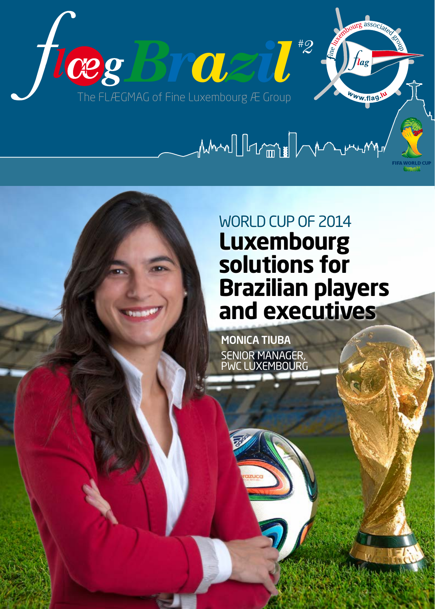

# MANI Institute Demonstration

WORLD CUP OF 2014 **Luxembourg solutions for Brazilian players and executives**

**MONICA TIUBA** SENIOR MANAGER,<br>PWC LUXEMBOURG